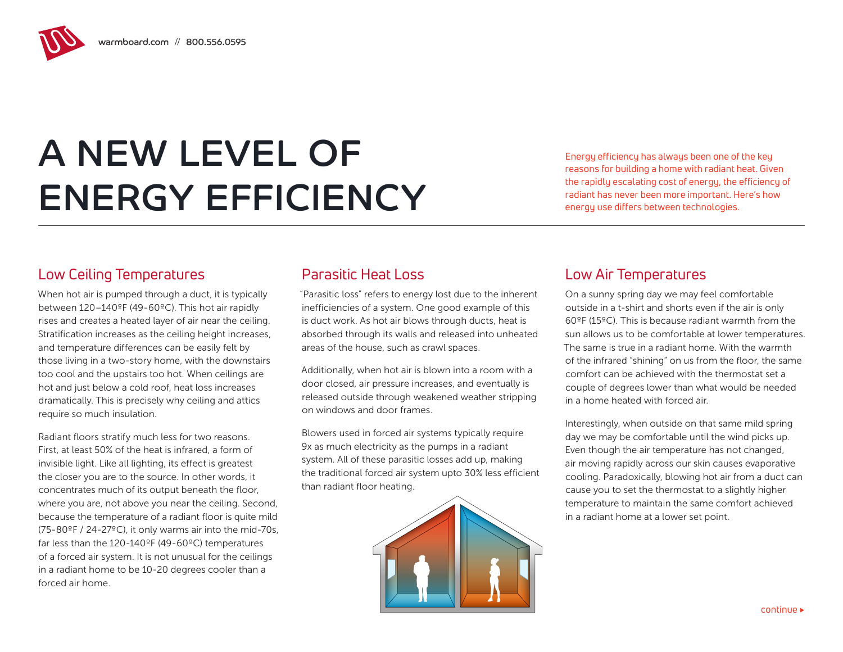# A NEW LEVEL OF ENERGY EFFICIENCY

Energy efficiency has always been one of the key reasons for building a home with radiant heat. Given the rapidly escalating cost of energy, the efficiency of radiant has never been more important. Here's how energy use differs between technologies.

## Low Ceiling Temperatures

When hot air is pumped through a duct, it is typically between 120–140ºF (49-60ºC). This hot air rapidly rises and creates a heated layer of air near the ceiling. Stratification increases as the ceiling height increases, and temperature differences can be easily felt by those living in a two-story home, with the downstairs too cool and the upstairs too hot. When ceilings are hot and just below a cold roof, heat loss increases dramatically. This is precisely why ceiling and attics require so much insulation.

Radiant floors stratify much less for two reasons. First, at least 50% of the heat is infrared, a form of invisible light. Like all lighting, its effect is greatest the closer you are to the source. In other words, it concentrates much of its output beneath the floor, where you are, not above you near the ceiling. Second, because the temperature of a radiant floor is quite mild (75-80ºF / 24-27ºC), it only warms air into the mid-70s, far less than the 120-140ºF (49-60ºC) temperatures of a forced air system. It is not unusual for the ceilings in a radiant home to be 10-20 degrees cooler than a forced air home.

# Parasitic Heat Loss

"Parasitic loss" refers to energy lost due to the inherent inefficiencies of a system. One good example of this is duct work. As hot air blows through ducts, heat is absorbed through its walls and released into unheated areas of the house, such as crawl spaces.

Additionally, when hot air is blown into a room with a door closed, air pressure increases, and eventually is released outside through weakened weather stripping on windows and door frames.

Blowers used in forced air systems typically require 9x as much electricity as the pumps in a radiant system. All of these parasitic losses add up, making the traditional forced air system upto 30% less efficient than radiant floor heating.



## Low Air Temperatures

On a sunny spring day we may feel comfortable outside in a t-shirt and shorts even if the air is only 60ºF (15ºC). This is because radiant warmth from the sun allows us to be comfortable at lower temperatures. The same is true in a radiant home. With the warmth of the infrared "shining" on us from the floor, the same comfort can be achieved with the thermostat set a couple of degrees lower than what would be needed in a home heated with forced air.

Interestingly, when outside on that same mild spring day we may be comfortable until the wind picks up. Even though the air temperature has not changed, air moving rapidly across our skin causes evaporative cooling. Paradoxically, blowing hot air from a duct can cause you to set the thermostat to a slightly higher temperature to maintain the same comfort achieved in a radiant home at a lower set point.